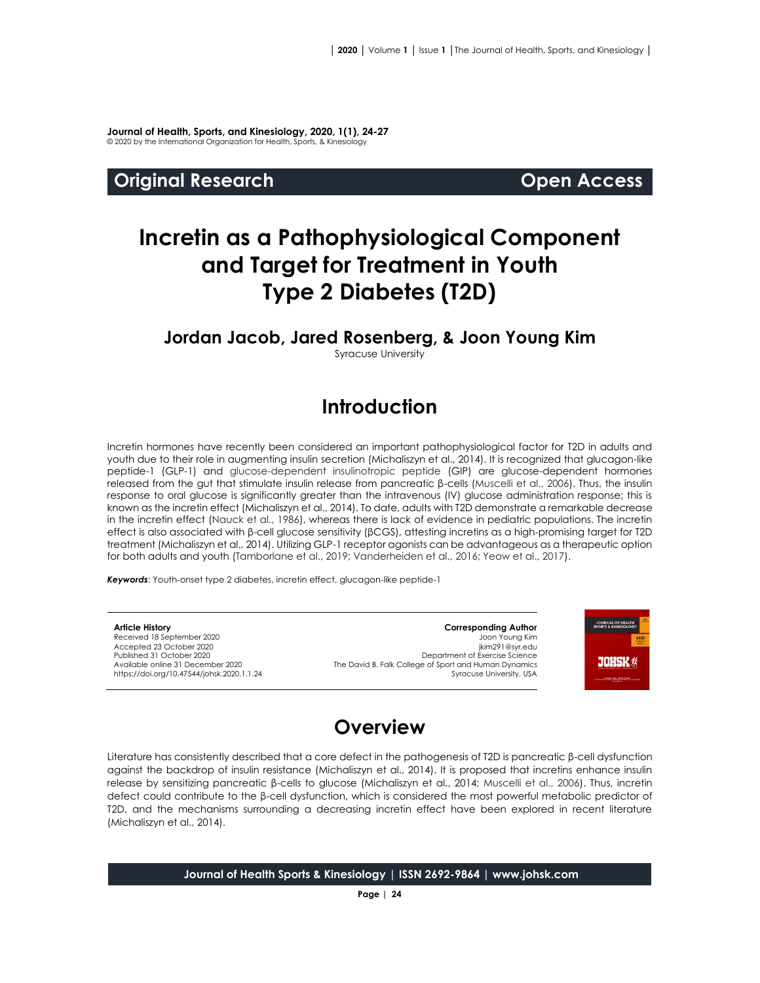**Journal of Health, Sports, and Kinesiology, 2020, 1(1), 24-27** © 2020 by the International Organization for Health, Sports, & Kinesiology

#### **Original Research Community Community Community Community Open Access**

# **Incretin as a Pathophysiological Component and Target for Treatment in Youth Type 2 Diabetes (T2D)**

#### **Jordan Jacob, Jared Rosenberg, & Joon Young Kim**

Syracuse University

## **Introduction**

Incretin hormones have recently been considered an important pathophysiological factor for T2D in adults and youth due to their role in augmenting insulin secretion (Michaliszyn et al., 2014). It is recognized that glucagon-like peptide-1 (GLP-1) and glucose-dependent insulinotropic peptide (GIP) are glucose-dependent hormones released from the gut that stimulate insulin release from pancreatic β-cells (Muscelli et al., 2006). Thus, the insulin response to oral glucose is significantly greater than the intravenous (IV) glucose administration response; this is known as the incretin effect (Michaliszyn et al., 2014). To date, adults with T2D demonstrate a remarkable decrease in the incretin effect (Nauck et al., 1986), whereas there is lack of evidence in pediatric populations. The incretin effect is also associated with β-cell glucose sensitivity (βCGS), attesting incretins as a high-promising target for T2D treatment (Michaliszyn et al., 2014). Utilizing GLP-1 receptor agonists can be advantageous as a therapeutic option for both adults and youth (Tamborlane et al., 2019; Vanderheiden et al., 2016; Yeow et al., 2017).

*Keywords*: Youth-onset type 2 diabetes, incretin effect, glucagon-like peptide-1

**Article History** Received 18 September 2020 Accepted 23 October 2020 Published 31 October 2020 Available online 31 December 2020 [https://doi.org/10.47544/johsk.2020.1.1.2](https://doi.org/10.47544/johsk.2020.1.1.9)4

**Corresponding Author** Joon Young Kim jkim291@syr.edu Department of Exercise Science The David B. Falk College of Sport and Human Dynamics Syracuse University, USA



## **Overview**

Literature has consistently described that a core defect in the pathogenesis of T2D is pancreatic β-cell dysfunction against the backdrop of insulin resistance (Michaliszyn et al., 2014). It is proposed that incretins enhance insulin release by sensitizing pancreatic β-cells to glucose (Michaliszyn et al., 2014; Muscelli et al., 2006). Thus, incretin defect could contribute to the β-cell dysfunction, which is considered the most powerful metabolic predictor of T2D, and the mechanisms surrounding a decreasing incretin effect have been explored in recent literature (Michaliszyn et al., 2014).

**Journal of Health Sports & Kinesiology | ISSN 2692-9864 | www.johsk.com**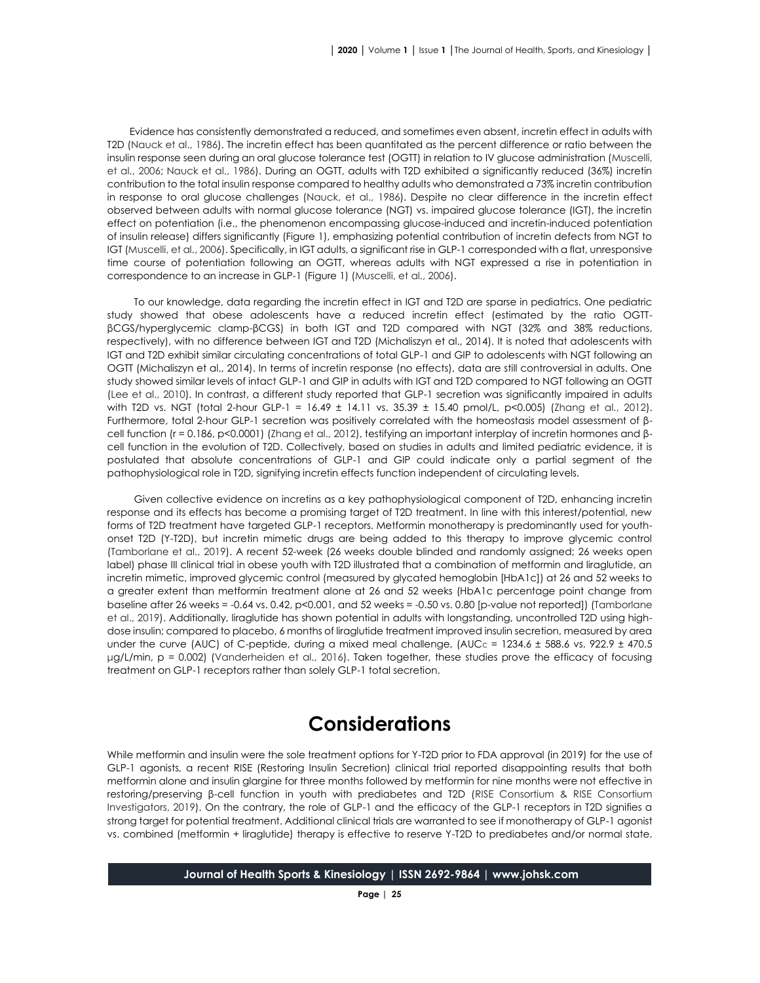Evidence has consistently demonstrated a reduced, and sometimes even absent, incretin effect in adults with T2D (Nauck et al., 1986). The incretin effect has been quantitated as the percent difference or ratio between the insulin response seen during an oral glucose tolerance test (OGTT) in relation to IV glucose administration (Muscelli, et al., 2006; Nauck et al., 1986). During an OGTT, adults with T2D exhibited a significantly reduced (36%) incretin contribution to the total insulin response compared to healthy adults who demonstrated a 73% incretin contribution in response to oral glucose challenges (Nauck, et al., 1986). Despite no clear difference in the incretin effect observed between adults with normal glucose tolerance (NGT) vs. impaired glucose tolerance (IGT), the incretin effect on potentiation (i.e., the phenomenon encompassing glucose-induced and incretin-induced potentiation of insulin release) differs significantly (Figure 1), emphasizing potential contribution of incretin defects from NGT to IGT (Muscelli, et al., 2006). Specifically, in IGT adults, a significant rise in GLP-1 corresponded with a flat, unresponsive time course of potentiation following an OGTT, whereas adults with NGT expressed a rise in potentiation in correspondence to an increase in GLP-1 (Figure 1) (Muscelli, et al., 2006).

To our knowledge, data regarding the incretin effect in IGT and T2D are sparse in pediatrics. One pediatric study showed that obese adolescents have a reduced incretin effect (estimated by the ratio OGTTβCGS/hyperglycemic clamp-βCGS) in both IGT and T2D compared with NGT (32% and 38% reductions, respectively), with no difference between IGT and T2D (Michaliszyn et al., 2014). It is noted that adolescents with IGT and T2D exhibit similar circulating concentrations of total GLP-1 and GIP to adolescents with NGT following an OGTT (Michaliszyn et al., 2014). In terms of incretin response (no effects), data are still controversial in adults. One study showed similar levels of intact GLP-1 and GIP in adults with IGT and T2D compared to NGT following an OGTT (Lee et al., 2010). In contrast, a different study reported that GLP-1 secretion was significantly impaired in adults with T2D vs. NGT (total 2-hour GLP-1 = 16.49 ± 14.11 vs. 35.39 ± 15.40 pmol/L, p<0.005) (Zhang et al., 2012). Furthermore, total 2-hour GLP-1 secretion was positively correlated with the homeostasis model assessment of βcell function (r = 0.186, p<0.0001) (Zhang et al., 2012), testifying an important interplay of incretin hormones and βcell function in the evolution of T2D. Collectively, based on studies in adults and limited pediatric evidence, it is postulated that absolute concentrations of GLP-1 and GIP could indicate only a partial segment of the pathophysiological role in T2D, signifying incretin effects function independent of circulating levels.

Given collective evidence on incretins as a key pathophysiological component of T2D, enhancing incretin response and its effects has become a promising target of T2D treatment. In line with this interest/potential, new forms of T2D treatment have targeted GLP-1 receptors. Metformin monotherapy is predominantly used for youthonset T2D (Y-T2D), but incretin mimetic drugs are being added to this therapy to improve glycemic control (Tamborlane et al., 2019). A recent 52-week (26 weeks double blinded and randomly assigned; 26 weeks open label) phase III clinical trial in obese youth with T2D illustrated that a combination of metformin and liraglutide, an incretin mimetic, improved glycemic control (measured by glycated hemoglobin [HbA1c]) at 26 and 52 weeks to a greater extent than metformin treatment alone at 26 and 52 weeks (HbA1c percentage point change from baseline after 26 weeks = -0.64 vs. 0.42,  $p<0.001$ , and 52 weeks = -0.50 vs. 0.80 [p-value not reported]) (Tamborlane et al., 2019). Additionally, liraglutide has shown potential in adults with longstanding, uncontrolled T2D using highdose insulin; compared to placebo, 6 months of liraglutide treatment improved insulin secretion, measured by area under the curve (AUC) of C-peptide, during a mixed meal challenge, (AUC<sub>C</sub> = 1234.6 ± 588.6 vs. 922.9 ± 470.5 μg/L/min, p = 0.002) (Vanderheiden et al., 2016). Taken together, these studies prove the efficacy of focusing treatment on GLP-1 receptors rather than solely GLP-1 total secretion.

### **Considerations**

While metformin and insulin were the sole treatment options for Y-T2D prior to FDA approval (in 2019) for the use of GLP-1 agonists, a recent RISE (Restoring Insulin Secretion) clinical trial reported disappointing results that both metformin alone and insulin glargine for three months followed by metformin for nine months were not effective in restoring/preserving β-cell function in youth with prediabetes and T2D (RISE Consortium & RISE Consortium Investigators, 2019). On the contrary, the role of GLP-1 and the efficacy of the GLP-1 receptors in T2D signifies a strong target for potential treatment. Additional clinical trials are warranted to see if monotherapy of GLP-1 agonist vs. combined (metformin + liraglutide) therapy is effective to reserve Y-T2D to prediabetes and/or normal state.

**Journal of Health Sports & Kinesiology | ISSN 2692-9864 | www.johsk.com**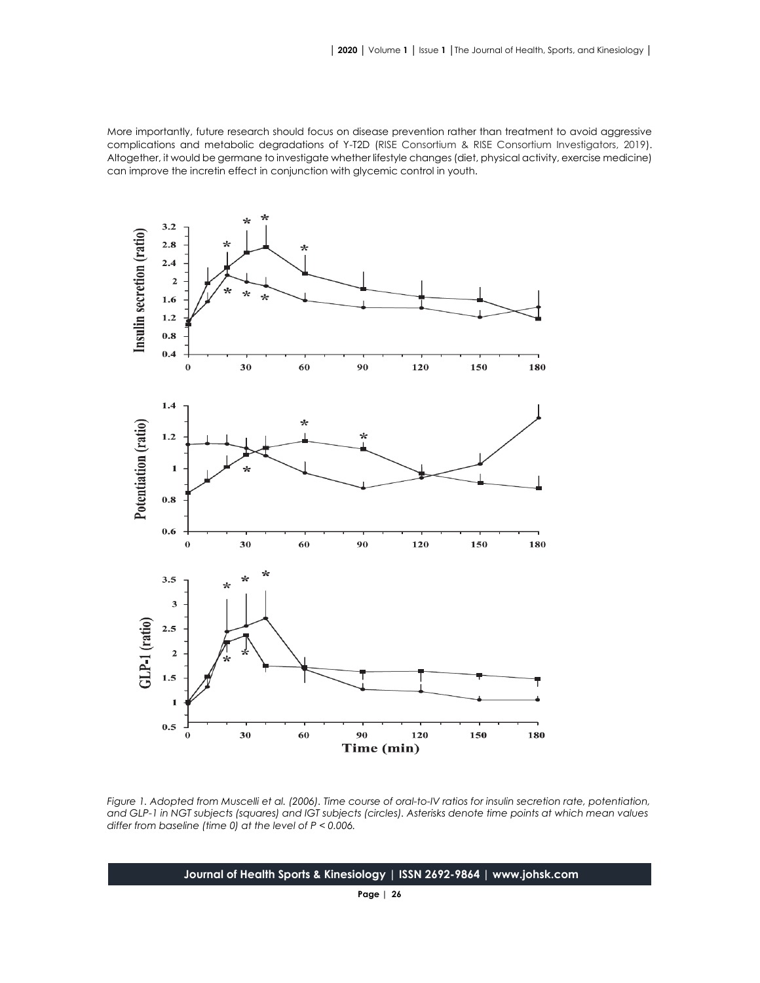More importantly, future research should focus on disease prevention rather than treatment to avoid aggressive complications and metabolic degradations of Y-T2D (RISE Consortium & RISE Consortium Investigators, 2019). Altogether, it would be germane to investigate whether lifestyle changes (diet, physical activity, exercise medicine) can improve the incretin effect in conjunction with glycemic control in youth.



*Figure 1. Adopted from Muscelli et al. (2006). Time course of oral-to-IV ratios for insulin secretion rate, potentiation,*  and GLP-1 in NGT subjects (squares) and IGT subjects (circles). Asterisks denote time points at which mean values *differ from baseline (time 0) at the level of P < 0.006.*

**Journal of Health Sports & Kinesiology | ISSN 2692-9864 | www.johsk.com**

**Page | 26**